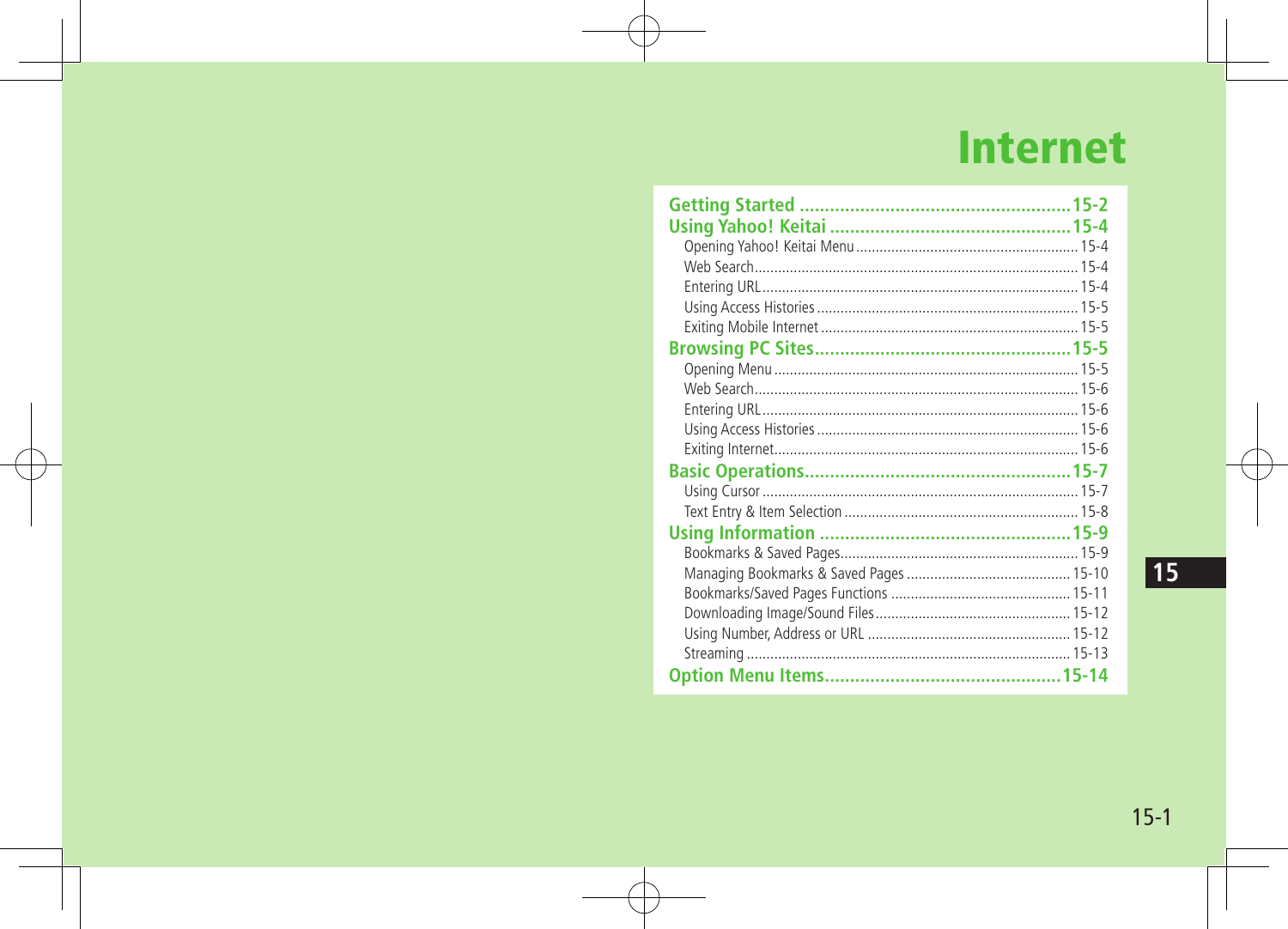# **Internet**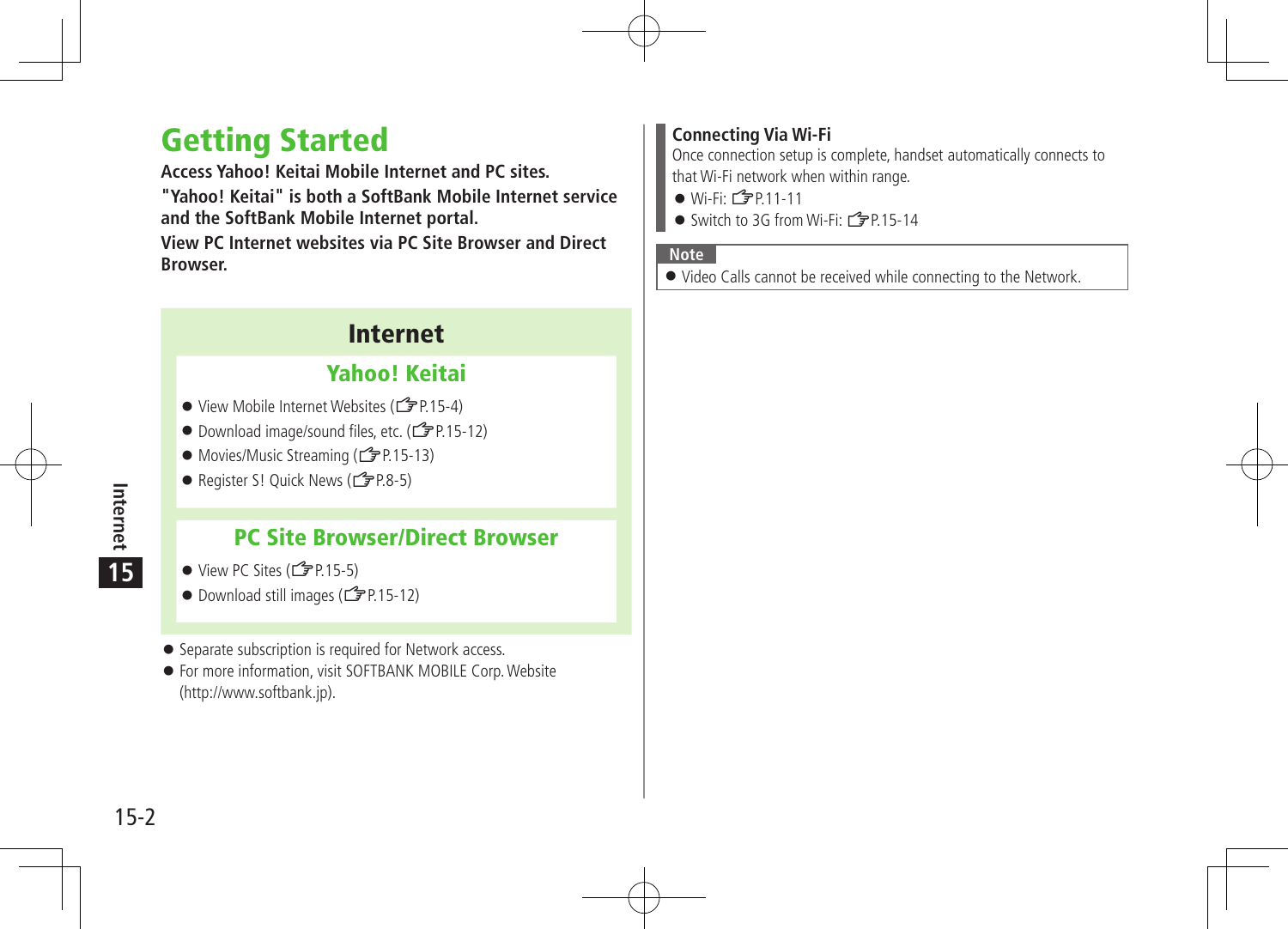## Getting Started

**Access Yahoo! Keitai Mobile Internet and PC sites.**

**"Yahoo! Keitai" is both a SoftBank Mobile Internet service and the SoftBank Mobile Internet portal.**

**View PC Internet websites via PC Site Browser and Direct Browser.**

## Internet

## Yahoo! Keitai

- View Mobile Internet Websites (19P.15-4)
- Download image/sound files, etc. (<del>1</del> P.15-12)
- Movies/Music Streaming (CPP.15-13)
- Register S! Quick News  $(\sqrt{27}P.8-5)$

## PC Site Browser/Direct Browser

- $\bullet$  View PC Sites ( $\mathcal{F}$ P.15-5)
- $\bullet$  Download still images ( $\mathcal{F}$ P.15-12)
- **•** Separate subscription is required for Network access.
- For more information, visit SOFTBANK MOBILE Corp.Website (http://www.softbank.jp).

### **Connecting Via Wi-Fi**

Once connection setup is complete, handset automatically connects to that Wi-Fi network when within range.

- $\bullet$  Wi-Fi:  $\curvearrowright$  P 11-11
- Switch to 3G from Wi-Fi: <del></del> P.15-14

#### **Note**

Video Calls cannot be received while connecting to the Network.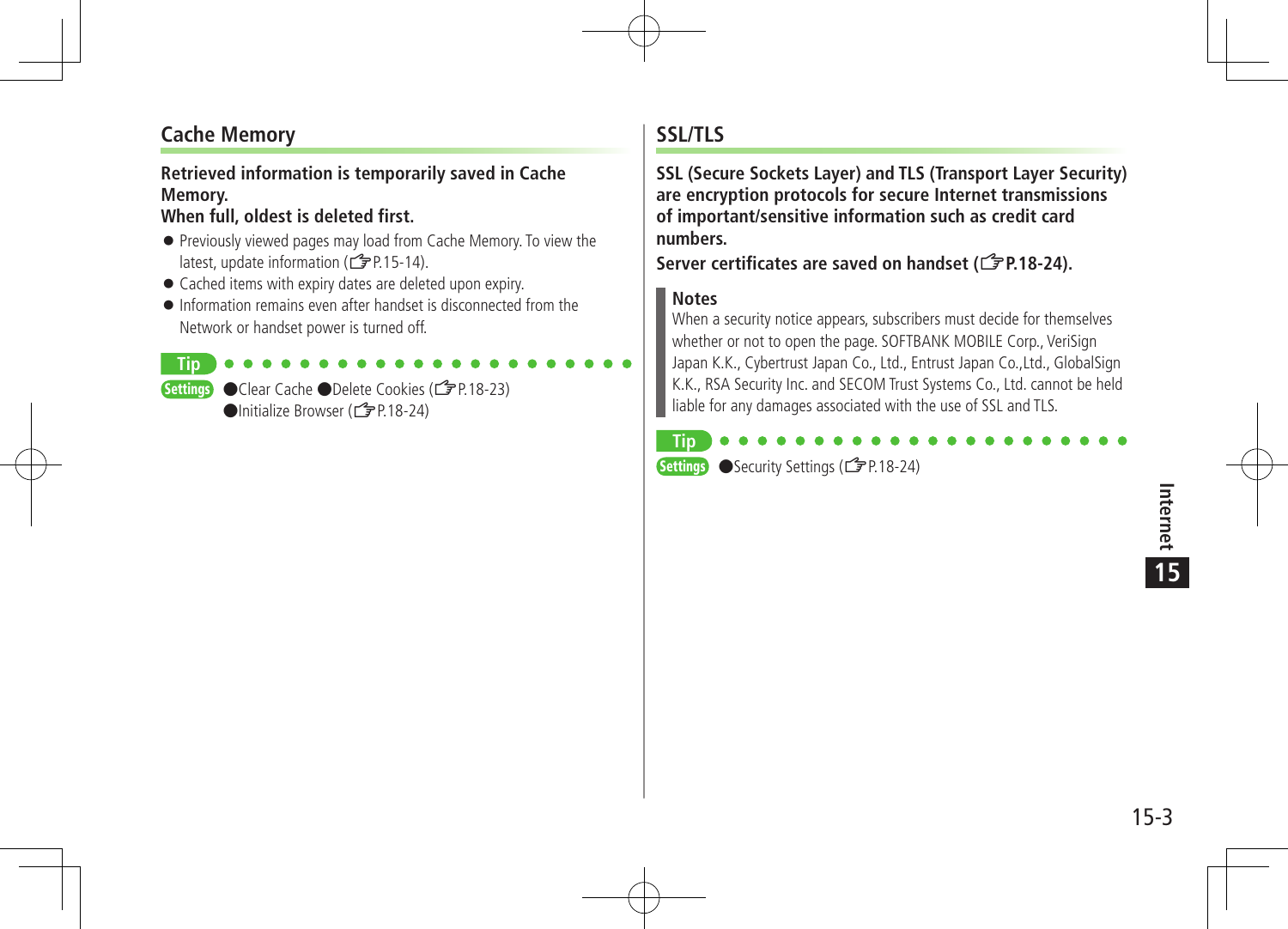## **Cache Memory**

**Tip**

#### **Retrieved information is temporarily saved in Cache Memory.**

#### **When full, oldest is deleted first.**

- Previously viewed pages may load from Cache Memory. To view the latest, update information (子P.15-14).
- Cached items with expiry dates are deleted upon expiry.
- Information remains even after handset is disconnected from the Network or handset power is turned off.

Settings ●Clear Cache ●Delete Cookies (【字P18-23) ●Initialize Browser (<del>1</del> P.18-24)

### **SSL/TLS**

**SSL (Secure Sockets Layer) and TLS (Transport Layer Security) are encryption protocols for secure Internet transmissions of important/sensitive information such as credit card numbers.**

Server certificates are saved on handset (<del>C</del><sub>P</sub>P.18-24).

#### **Notes**

When a security notice appears, subscribers must decide for themselves whether or not to open the page. SOFTBANK MOBILE Corp., VeriSign Japan K.K., Cybertrust Japan Co., Ltd., Entrust Japan Co.,Ltd., GlobalSign K.K., RSA Security Inc. and SECOM Trust Systems Co., Ltd. cannot be held liable for any damages associated with the use of SSL and TLS.



Settings ●Security Settings (ZP.18-24)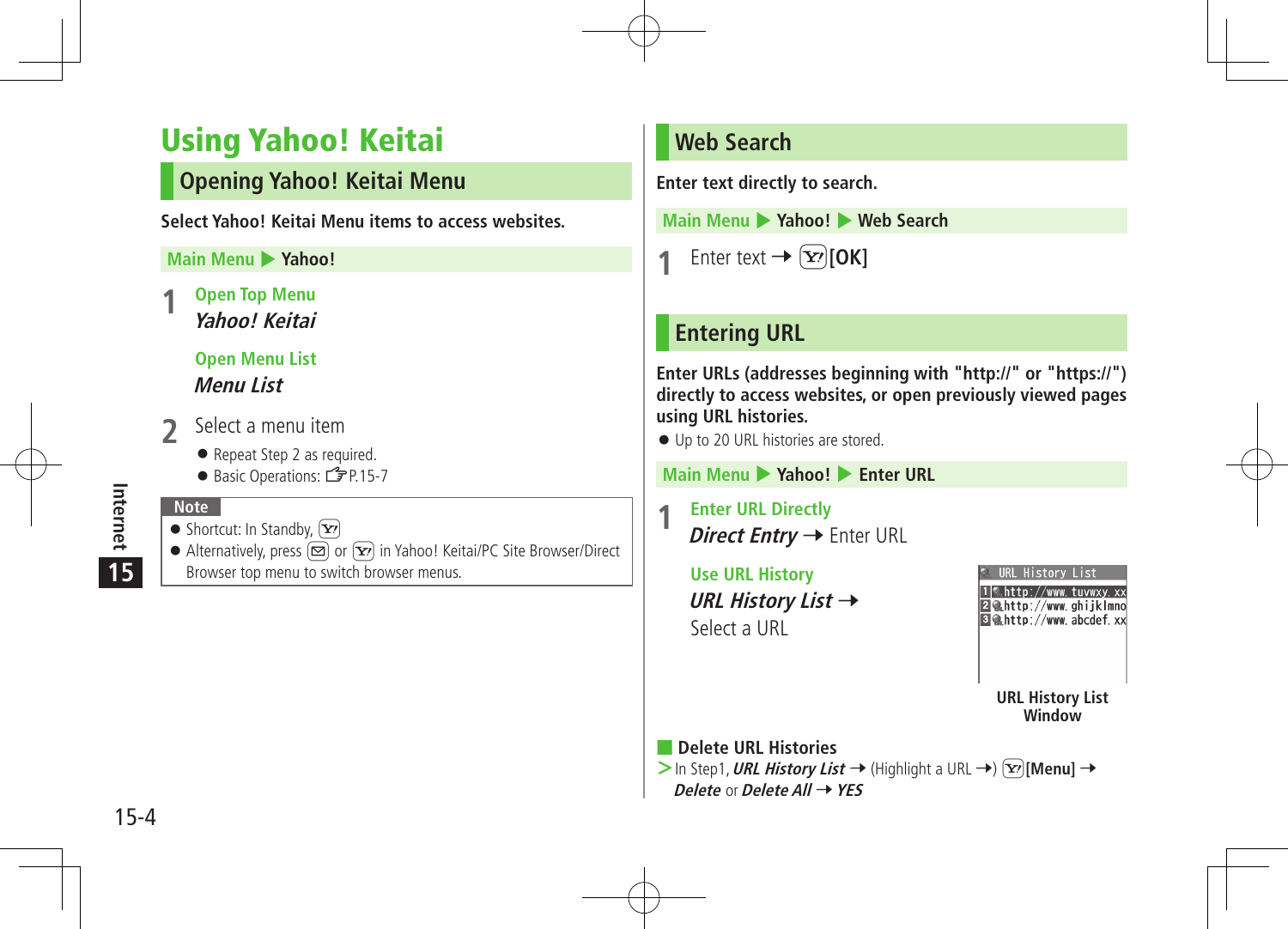# Using Yahoo! Keitai

## **Opening Yahoo! Keitai Menu**

**Select Yahoo! Keitai Menu items to access websites.**

#### **Main Menu > Yahoo!**

**1 Open Top Menu Yahoo! Keitai**

## **Open Menu List Menu List**

- **2** Select <sup>a</sup> menu item
	- Repeat Step 2 as required.
	- Basic Operations:

## **Note**

**15**

Internet

- $\bullet$  Shortcut: In Standby,  $\boxed{\mathbf{Y}}$
- Alternatively, press  $\boxed{\infty}$  or  $\boxed{\infty}$  in Yahoo! Keitai/PC Site Browser/Direct Browser top menu to switch browser menus.

## **Web Search**

**Enter text directly to search.**

**Main Menu** 4 **Yahoo!** 4 **Web Search**

Enter text  $\rightarrow \boxed{\mathbf{\Sigma}}$  [OK]

## **Entering URL**

**Enter URLs (addresses beginning with "http://" or "https://") directly to access websites, or open previously viewed pages using URL histories.**

Up to 20 URL histories are stored.

**Main Menu** 4 **Yahoo!** 4 **Enter URL**

**1 Enter URL Directly** Direct Entry → Enter URL

> **Use URL History URL History List →** Select a URL

|  | URL History List |  |
|--|------------------|--|

図像http://www.ghijklmno Behttp://www.abcdef.xx

> **URL History List Window**

■ **Delete URL Histories**

 $>$  In Step1, URL History List  $\rightarrow$  (Highlight a URL  $\rightarrow$ )  $\boxed{\mathbf{x}}$ ] [Menu]  $\rightarrow$ **Delete** or**Delete All** 7**YES**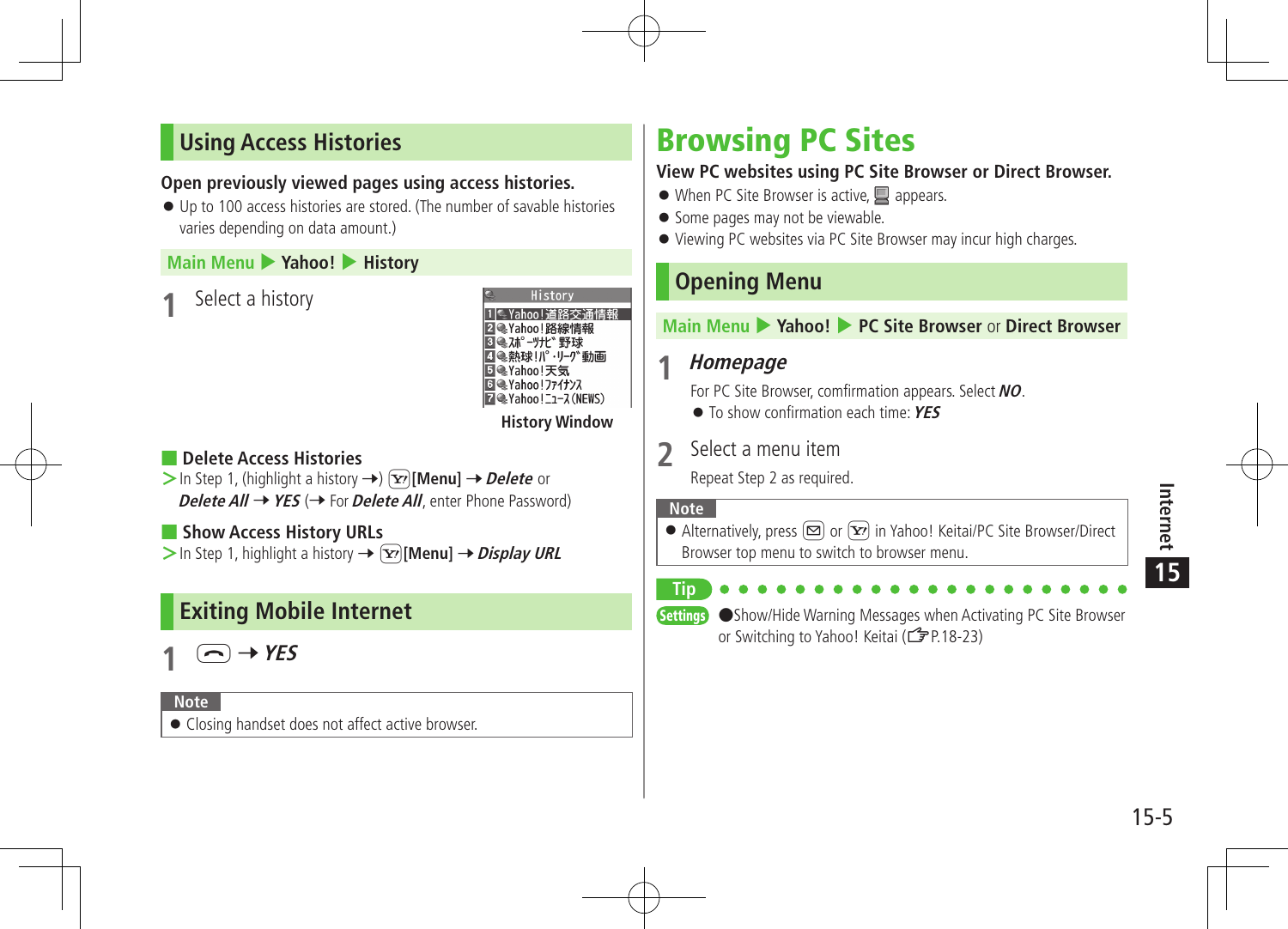## **Using Access Histories**

### **Open previously viewed pages using access histories.**

 Up to 100 access histories are stored. (The number of savable histories varies depending on data amount.)

#### **Main Menu** 4 **Yahoo!** 4 **History**

**Select a history** 

History 1 【 Yahoo!道路交通情報 図●Yahoo!路線情報 図 @スポーツナビ 野球 ■■熱球|パ・リーグ動画 **同●Yahoo!天気 ■●Yahoo!ファイナンス** Z & Yahoo!ニュース(NEWS) **History Window**

### ■ **Delete Access Histories**

 $>$  In Step 1, (highlight a history  $\rightarrow$ )  $\boxed{\mathbf{x}}$ **[Menu]**  $\rightarrow$  *Delete* or **Delete All → YES** (→ For **Delete All**, enter Phone Password)

■ **Show Access History URLs >** In Step 1, highlight a history →  $\boxed{\mathbf{Y}}$  [Menu] → *Display URL* 

## **Exiting Mobile Internet**



#### **Note**

Closing handset does not affect active browser.

# Browsing PC Sites

### **View PC websites using PC Site Browser or Direct Browser.**

- $\bullet$  When PC Site Browser is active,  $\Box$  appears.
- Some pages may not be viewable.
- Viewing PC websites via PC Site Browser may incur high charges.

## **Opening Menu**

#### **Main Menu** 4 **Yahoo!** 4 **PC Site Browser** or **Direct Browser**

## **1 Homepage**

For PC Site Browser, comfirmation appears. Select **NO**.

To show confirmation each time:**YES**

## **2** Select <sup>a</sup> menu item

Repeat Step 2 as required.

#### **Note**

Alternatively, press  $\boxed{\infty}$  or  $\boxed{\mathbf{x}}$  in Yahoo! Keitai/PC Site Browser/Direct Browser top menu to switch to browser menu.

#### **Tip**

Settings ●Show/Hide Warning Messages when Activating PC Site Browser or Switching to Yahoo! Keitai (ZP.18-23)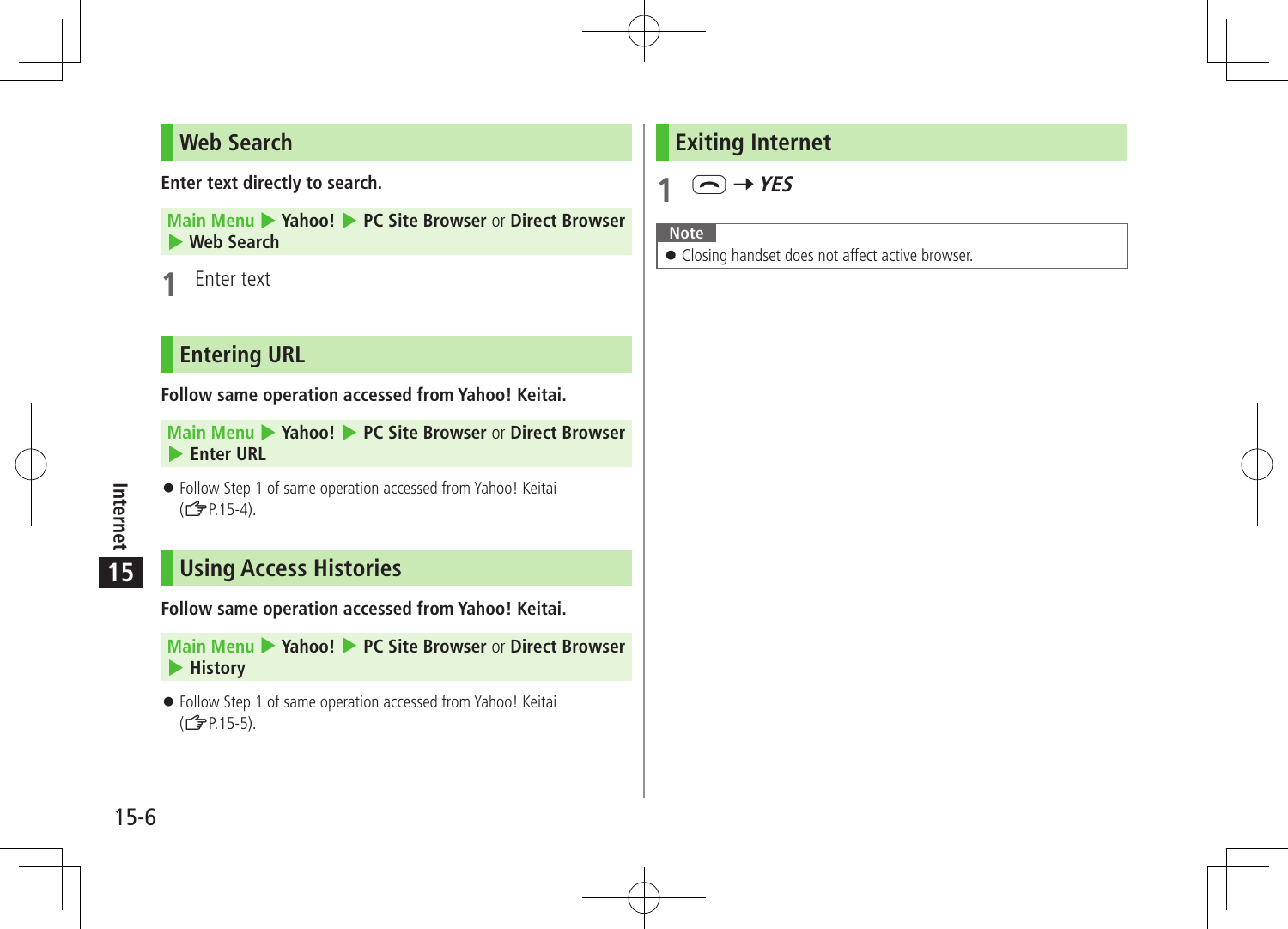## **Web Search**

**Enter text directly to search.**

**Main Menu > Yahoo! > PC Site Browser or Direct Browser** 4 **Web Search**

**Enter text** 

## **Entering URL**

**Follow same operation accessed from Yahoo! Keitai.**

**Main Menu • Yahoo! • PC Site Browser or Direct Browser** 4 **Enter URL**

 Follow Step 1 of same operation accessed from Yahoo! Keitai  $(\mathbb{Z}$  P.15-4).

## **Using Access Histories**

**Follow same operation accessed from Yahoo! Keitai.**

**Main Menu > Yahoo! > PC Site Browser or Direct Browser** 4 **History**

 Follow Step 1 of same operation accessed from Yahoo! Keitai  $(\mathbb{Z}$ P.15-5).

## **Exiting Internet**

 $(\neg)$  + YES

**Note**

Closing handset does not affect active browser.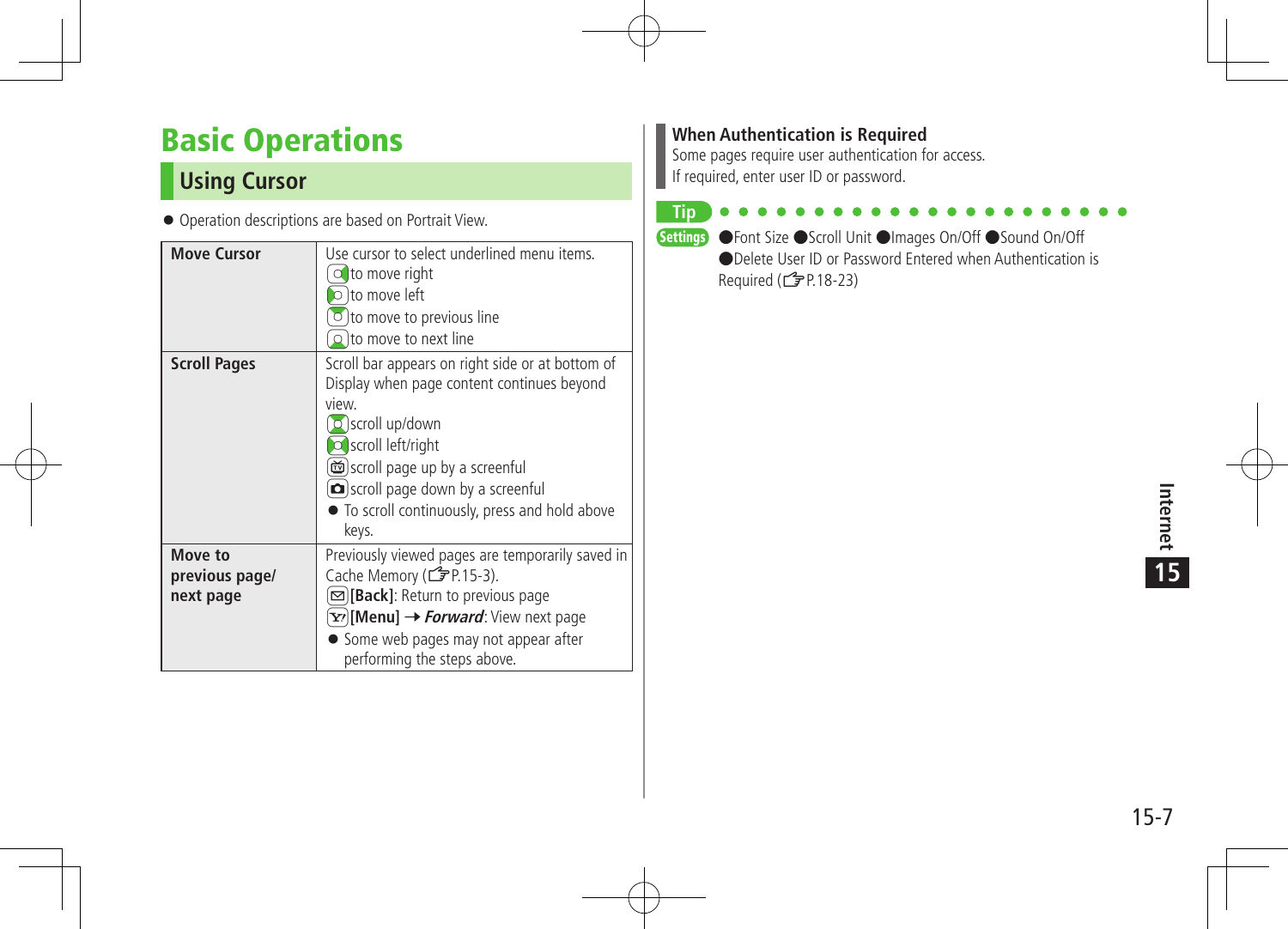# Basic Operations

## **Using Cursor**

Operation descriptions are based on Portrait View.

| <b>Move Cursor</b>                     | Use cursor to select underlined menu items.<br>to move right<br>$\circ$ to move left<br>$\circ$ to move to previous line<br>$\Omega$ to move to next line                                                                                                                               |
|----------------------------------------|-----------------------------------------------------------------------------------------------------------------------------------------------------------------------------------------------------------------------------------------------------------------------------------------|
| <b>Scroll Pages</b>                    | Scroll bar appears on right side or at bottom of<br>Display when page content continues beyond<br>view.<br>$\circ$ scroll up/down<br>o scroll left/right<br>scroll page up by a screenful<br>scroll page down by a screenful<br>• To scroll continuously, press and hold above<br>keys. |
| Move to<br>previous page/<br>next page | Previously viewed pages are temporarily saved in<br>Cache Memory (r P.15-3).<br>[ඏ] <b>[Back]</b> : Return to previous page<br>Y?) [Menu] → <i>Forward</i> : View next page<br>• Some web pages may not appear after<br>performing the steps above.                                     |

#### **When Authentication is Required**

Some pages require user authentication for access. If required, enter user ID or password.

**Tip**

Settings ●Font Size ●Scroll Unit ●Images On/Off ●Sound On/Off ●Delete User ID or Password Entered when Authentication is Required (ZP.18-23)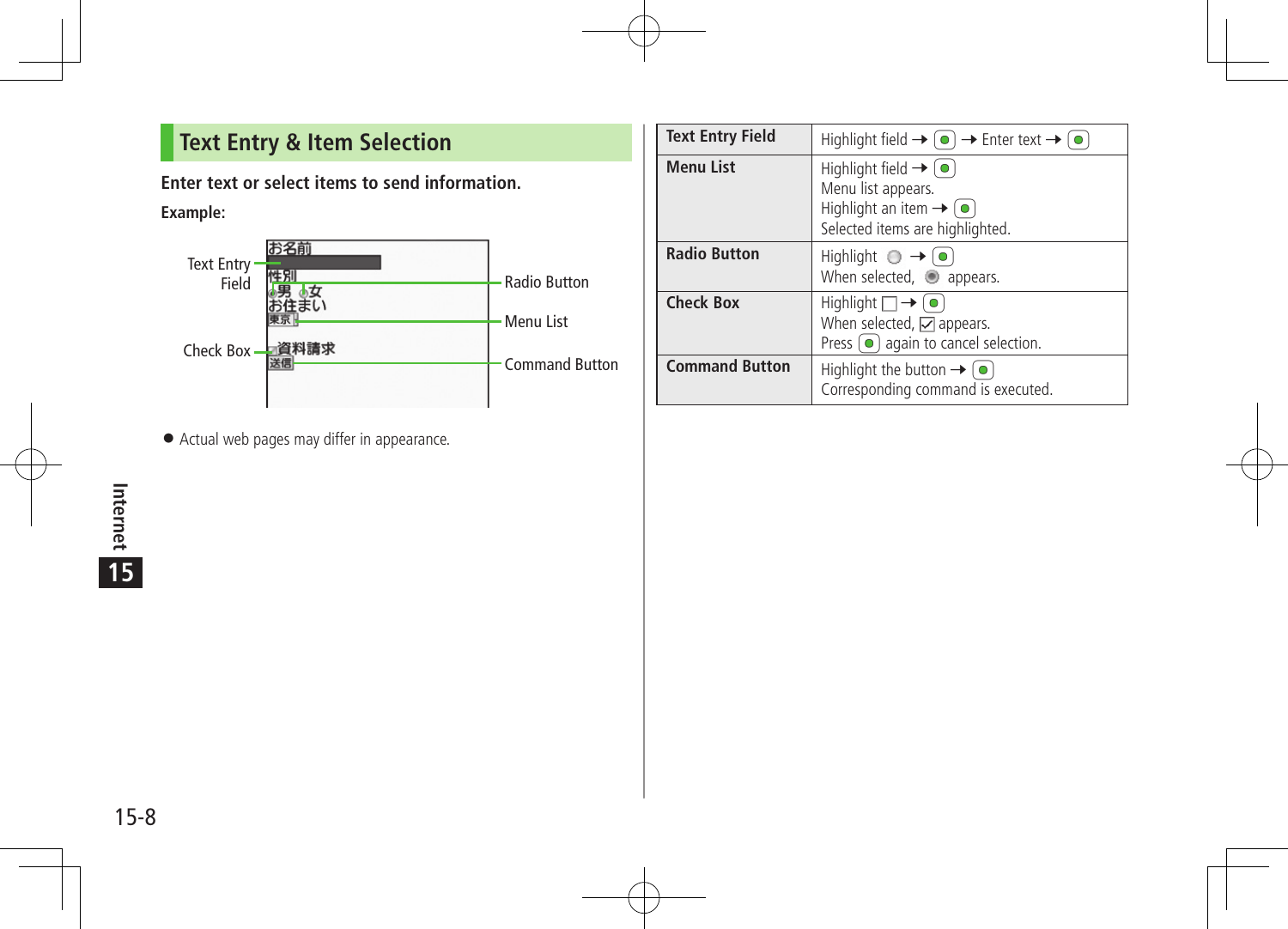## **Text Entry & Item Selection**

**Enter text or select items to send information.**

**Example:**



Actual web pages may differ in appearance.

| <b>Text Entry Field</b> | Highlight field $\rightarrow$ ( $\bullet$ ) $\rightarrow$ Enter text $\rightarrow$ ( $\bullet$ )                                                      |
|-------------------------|-------------------------------------------------------------------------------------------------------------------------------------------------------|
| <b>Menu List</b>        | Highlight field $\rightarrow$ ( $\bullet$ )<br>Menu list appears.<br>Highlight an item $\rightarrow$ ( $\bullet$ )<br>Selected items are highlighted. |
| <b>Radio Button</b>     | Highlight $\bigcirc \rightarrow o$<br>When selected, appears.                                                                                         |
| <b>Check Box</b>        | Highlight $\Box \rightarrow \Box$<br>When selected, $\Box$ appears.<br>Press $\left( \bullet \right)$ again to cancel selection.                      |
| <b>Command Button</b>   | Highlight the button $\rightarrow$ ( $\bullet$ )<br>Corresponding command is executed.                                                                |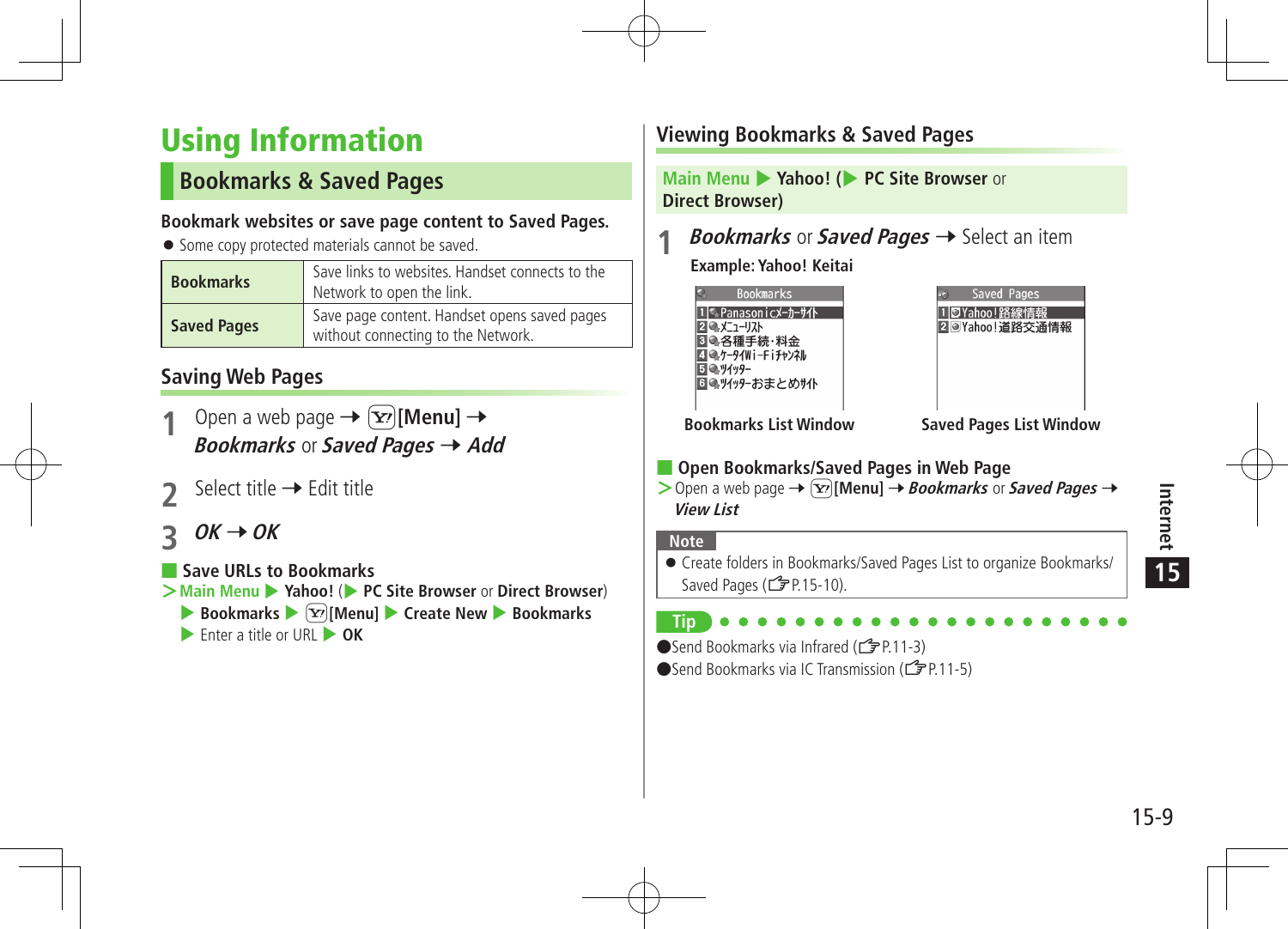# Using Information

## **Bookmarks & Saved Pages**

#### **Bookmark websites or save page content to Saved Pages.**

● Some copy protected materials cannot be saved.

| <b>Bookmarks</b>   | Save links to websites. Handset connects to the<br>Network to open the link.       |
|--------------------|------------------------------------------------------------------------------------|
| <b>Saved Pages</b> | Save page content. Handset opens saved pages<br>without connecting to the Network. |

## **Saving Web Pages**

- Open a web page  $\rightarrow \infty$  [Menu]  $\rightarrow$ **Bookmarks** or **Saved Pages**  $\rightarrow$  **Add**
- Select title  $\rightarrow$  Edit title
- $OK \rightarrow OK$

■ **Save URLs to Bookmarks**

- **≥Main Menu ▶ Yahoo!** (▶ PC Site Browser or Direct Browser)
	- ▶ Bookmarks ▶  $\boxed{\mathbf{Y}}$  [Menu] ▶ Create New ▶ Bookmarks
	- **Enter a title or URL**  $\rightarrow$  **OK**

## **Viewing Bookmarks & Saved Pages**

**Main Menu** 4 **Yahoo! (**4 **PC Site Browser** or **Direct Browser)**

*Bookmarks* or **Saved Pages**  $\rightarrow$  Select an item

**Example: Yahoo! Keitai**

| <b>Bookmarks</b>             |  |
|------------------------------|--|
| ‰Panasonicメーカーサイト            |  |
| ●メニューリスト                     |  |
|                              |  |
| ●各種手続・料金<br> ●ケータイWi-Fiチャンネル |  |
| 吸ッイッター                       |  |
| ■●ツイッターおまとめサイト               |  |
|                              |  |

| Saved Pages |                |
|-------------|----------------|
| ⊙Yahoo!路線情  |                |
|             | 2 Wahoo!道路交通情報 |
|             |                |
|             |                |
|             |                |

**Bookmarks List Window Saved Pages List Window**

## ■ **Open Bookmarks/Saved Pages in Web Page**

 $>$  Open a web page  $\rightarrow$   $\boxed{\mathbf{x}}$  [Menu]  $\rightarrow$  **Bookmarks** or **Saved Pages**  $\rightarrow$ **View List**

#### **Note**

 Create folders in Bookmarks/Saved Pages List to organize Bookmarks/ Saved Pages (ZP.15-10).

## **Tip**

●Send Bookmarks via Infrared (<del>【</del> P.11-3)

 $\bullet$  Send Bookmarks via IC Transmission ( $\uparrow$   $\neq$  P.11-5)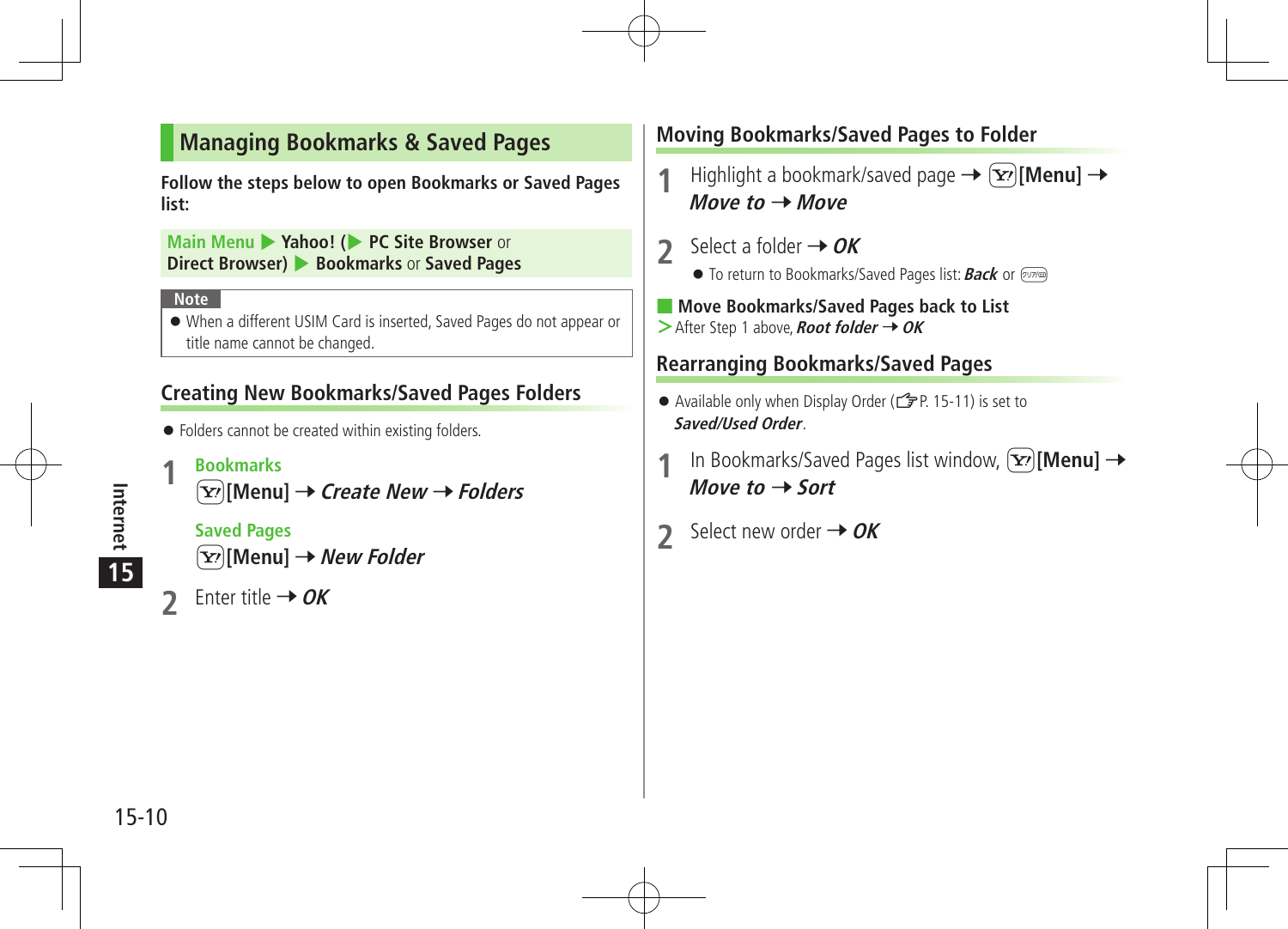## **Managing Bookmarks & Saved Pages**

**Follow the steps below to open Bookmarks or Saved Pages list:**

**Main Menu** 4 **Yahoo! (**4 **PC Site Browser** or **Direct Browser)** 4 **Bookmarks** or **Saved Pages**

#### **Note**

 When a different USIM Card is inserted, Saved Pages do not appear or title name cannot be changed.

### **Creating New Bookmarks/Saved Pages Folders**

- $\bullet$  Folders cannot be created within existing folders.
- **1 Bookmarks**

S**[Menu]** 7**Create New** 7**Folders**

**Saved Pages**



Enter title  $\rightarrow$  OK

## **Moving Bookmarks/Saved Pages to Folder**

**Highlight a bookmark/saved page**  $\rightarrow \infty$  **[Menu]**  $\rightarrow$  $Move to  $\rightarrow$  Move$ 

- **2** Select a folder → OK
	- **•** To return to Bookmarks/Saved Pages list: **Back** or  $\boxed{\text{true}}$
- **Move Bookmarks/Saved Pages back to List**
- $>$ After Step 1 above, **Root folder**  $\rightarrow$  OK

## **Rearranging Bookmarks/Saved Pages**

- Available only when Display Order ( $\mathbb{Z}$ P. 15-11) is set to **Saved/Used Order**.
- In Bookmarks/Saved Pages list window,  $[\mathbf{x}]$ [Menu]  $\rightarrow$ Move to  $\rightarrow$  **Sort**
- 2 Select new order  $\rightarrow$  OK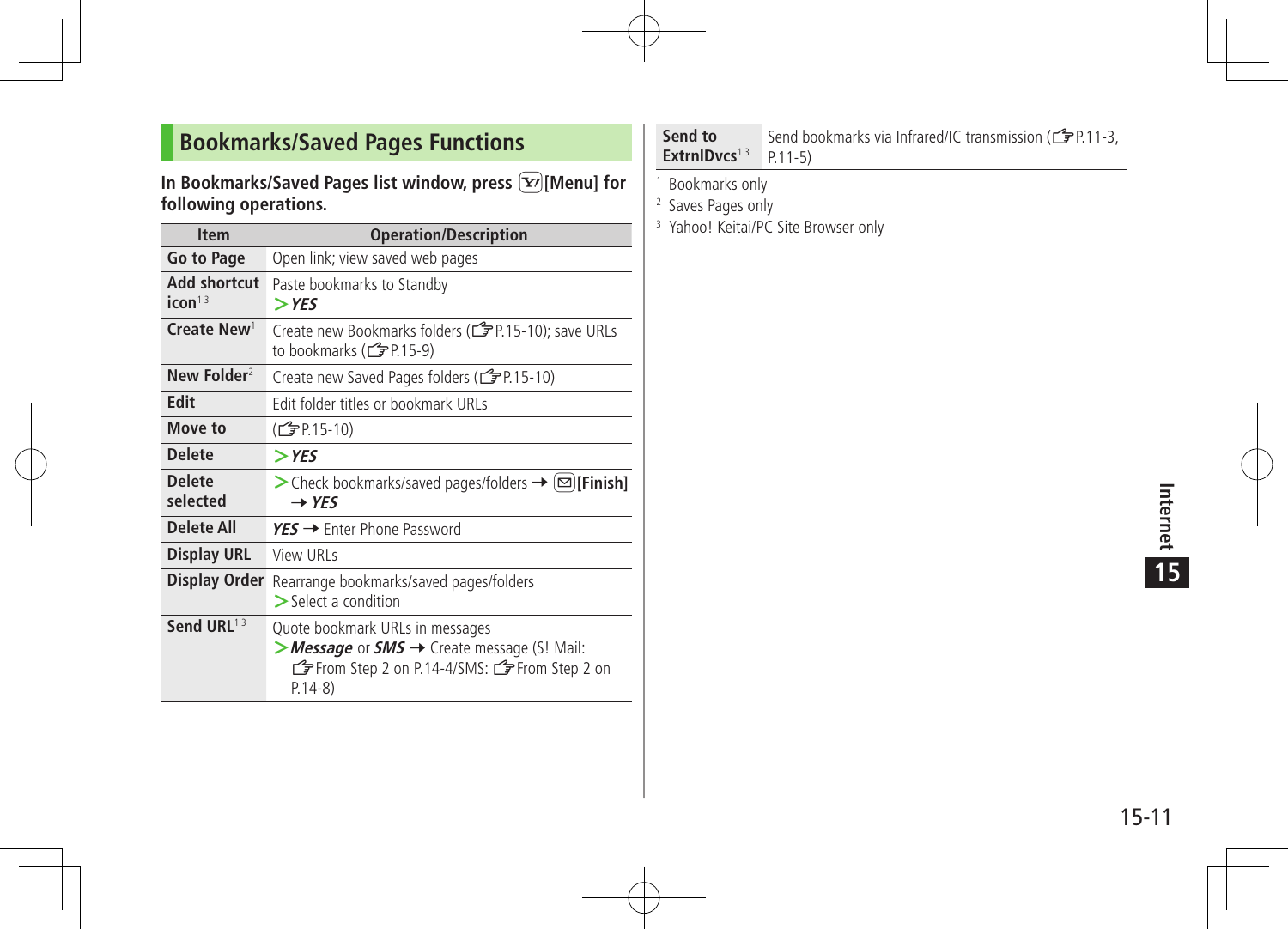## **Bookmarks/Saved Pages Functions**

#### **In Bookmarks/Saved Pages list window, press**  $\boxed{\mathbf{x}}$  **[Menu] for following operations.**

| <b>Item</b>                        | <b>Operation/Description</b>                                                                                                                |
|------------------------------------|---------------------------------------------------------------------------------------------------------------------------------------------|
| Go to Page                         | Open link; view saved web pages                                                                                                             |
| Add shortcut<br>icon <sup>13</sup> | Paste bookmarks to Standby<br>$>$ YES                                                                                                       |
| Create New <sup>1</sup>            | Create new Bookmarks folders (reate 10); save URLs<br>to bookmarks ( $\mathbb{C}$ P.15-9)                                                   |
| New Folder <sup>2</sup>            | Create new Saved Pages folders (CFP.15-10)                                                                                                  |
| <b>Edit</b>                        | Edit folder titles or bookmark URLs                                                                                                         |
| Move to                            | (CTP.15-10)                                                                                                                                 |
| <b>Delete</b>                      | $>$ YES                                                                                                                                     |
| <b>Delete</b><br>selected          | $\triangleright$ Check bookmarks/saved pages/folders $\rightarrow \lbrack \infty \rbrack$ [Finish]<br>$\rightarrow$ YES                     |
| <b>Delete All</b>                  | $YES \rightarrow$ Enter Phone Password                                                                                                      |
| <b>Display URL</b>                 | View URLs                                                                                                                                   |
| Display Order                      | Rearrange bookmarks/saved pages/folders<br>$\geq$ Select a condition                                                                        |
| Send URL <sup>13</sup>             | Quote bookmark URLs in messages<br>> Message or SMS → Create message (S! Mail:<br>G From Step 2 on P.14-4/SMS: G From Step 2 on<br>$P.14-8$ |

#### **Send to ExtrnlDvcs**<sup>13</sup> P.11-5) Send bookmarks via Infrared/IC transmission (CFP.11-3,

1 Bookmarks only

2 Saves Pages only

<sup>3</sup> Yahoo! Keitai/PC Site Browser only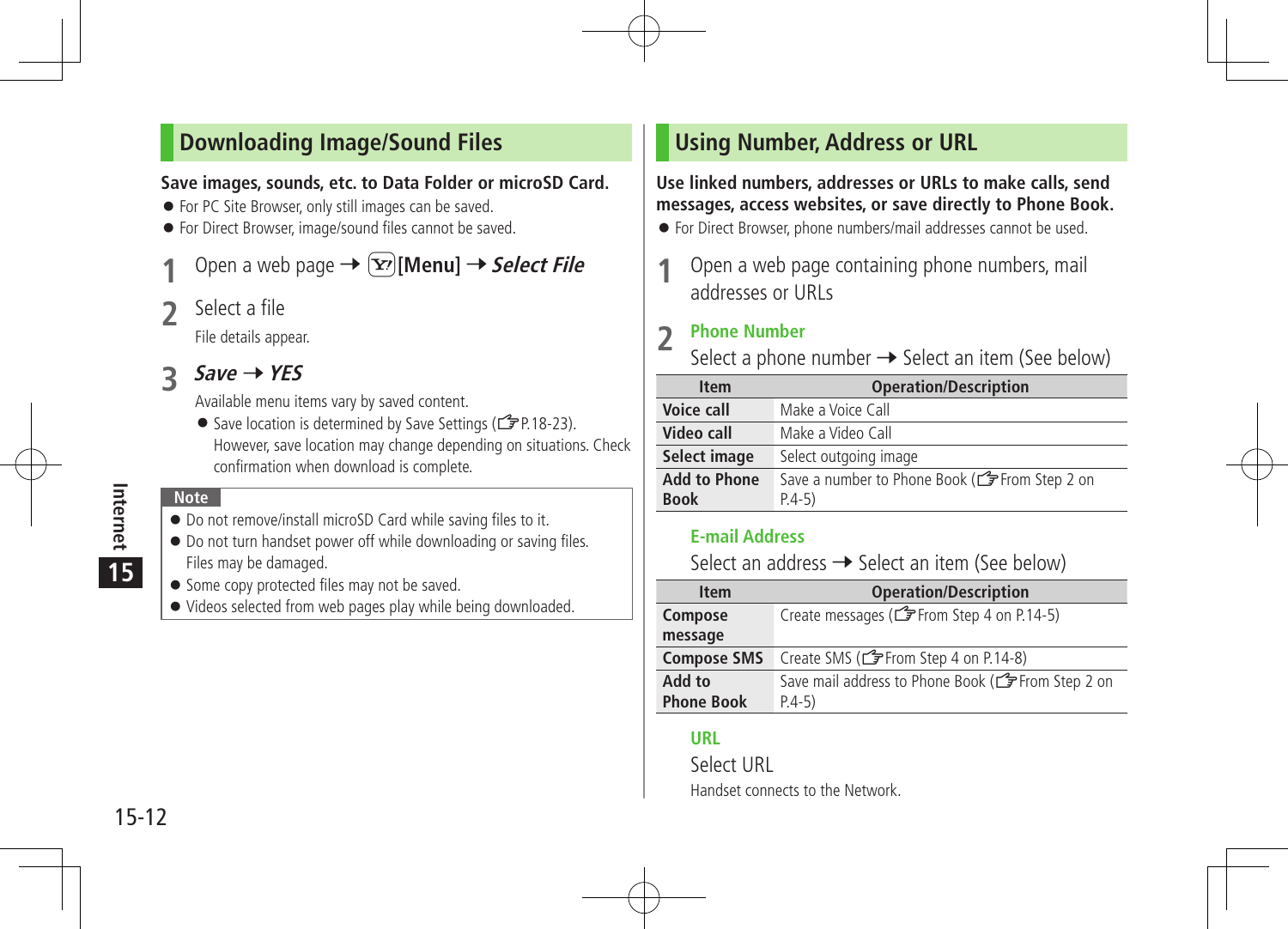## **Downloading Image/Sound Files**

#### **Save images, sounds, etc. to Data Folder or microSD Card.**

- For PC Site Browser, only still images can be saved.
- For Direct Browser, image/sound files cannot be saved.

Open a web page  $\rightarrow \infty$  [Menu]  $\rightarrow$  **Select File** 

**2** Select a file

File details appear.

## $3$  *Save*  $\rightarrow$  *YES*

Available menu items vary by saved content.

Save location is determined by Save Settings ( $\mathcal{F}$ P.18-23). However, save location may change depending on situations. Check confirmation when download is complete.

#### **Note**

- Do not remove/install microSD Card while saving files to it.
- $\bullet$  Do not turn handset power off while downloading or saving files. Files may be damaged.
- **Some copy protected files may not be saved.**
- Videos selected from web pages play while being downloaded.

## **Using Number, Address or URL**

#### **Use linked numbers, addresses or URLs to make calls, send messages, access websites, or save directly to Phone Book.**

For Direct Browser, phone numbers/mail addresses cannot be used.

Open a web page containing phone numbers, mail addresses or URLs

### **2 Phone Number**

Select a phone number  $\rightarrow$  Select an item (See below)

| <b>Item</b>                        | <b>Operation/Description</b>                              |
|------------------------------------|-----------------------------------------------------------|
| Voice call                         | Make a Voice Call                                         |
| Video call                         | Make a Video Call                                         |
| Select image                       | Select outgoing image                                     |
| <b>Add to Phone</b><br><b>Book</b> | Save a number to Phone Book (CFFrom Step 2 on<br>$P.4-5)$ |

#### **E-mail Address**

Select an address  $\rightarrow$  Select an item (See below)

| <b>Item</b>                 | <b>Operation/Description</b>                                  |
|-----------------------------|---------------------------------------------------------------|
| Compose                     | Create messages (form Step 4 on P.14-5)                       |
| message                     |                                                               |
| <b>Compose SMS</b>          | Create SMS (CFFrom Step 4 on P.14-8)                          |
| Add to<br><b>Phone Book</b> | Save mail address to Phone Book (CFFrom Step 2 on<br>$P.4-5)$ |

#### **URL**

Select URL Handset connects to the Network.

**15**

Internet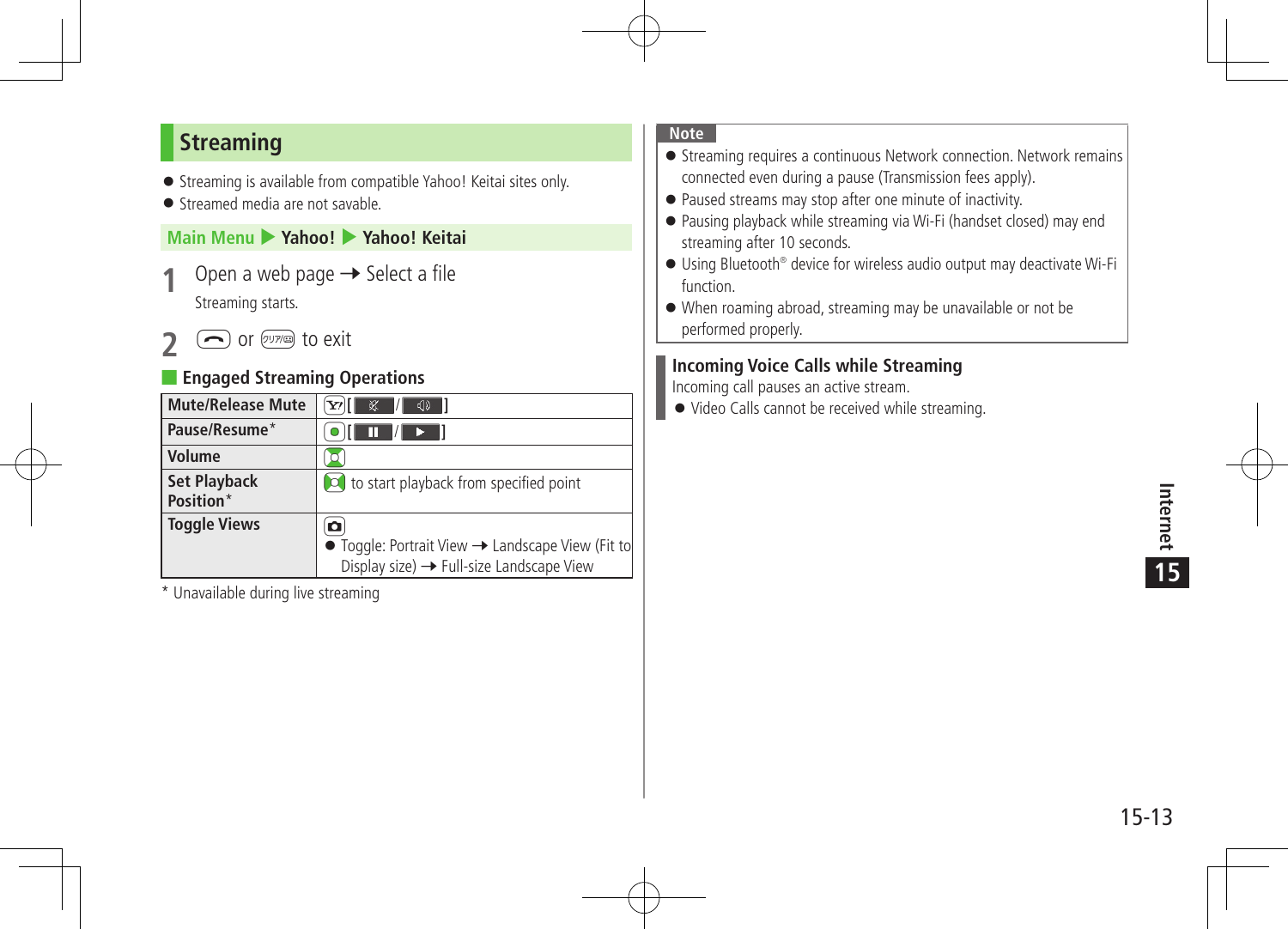## **Streaming**

- Streaming is available from compatible Yahoo! Keitai sites only.
- Streamed media are not savable.

#### **Main Menu** 4 **Yahoo!** 4 **Yahoo! Keitai**

- **Open a web page → Select a file** Streaming starts.
- **2** Or  $\overline{\text{CylW}}$  to exit

### **Engaged Streaming Operations**

| <b>Mute/Release Mute</b>         | $\mathbb{Z}$<br>- 71<br>বা                                                                                     |
|----------------------------------|----------------------------------------------------------------------------------------------------------------|
| Pause/Resume*                    | /  <br>$\rightarrow$ 1<br>m                                                                                    |
| Volume                           |                                                                                                                |
| <b>Set Playback</b><br>Position* | col to start playback from specified point                                                                     |
| <b>Toggle Views</b>              | o<br>• Toggle: Portrait View -> Landscape View (Fit to<br>Display size) $\rightarrow$ Full-size Landscape View |

\* Unavailable during live streaming

#### **Note**

- **•** Streaming requires a continuous Network connection. Network remains connected even during a pause (Transmission fees apply).
- Paused streams may stop after one minute of inactivity.
- Pausing playback while streaming via Wi-Fi (handset closed) may end streaming after 10 seconds.
- Using Bluetooth® device for wireless audio output may deactivate Wi-Fi function.
- When roaming abroad, streaming may be unavailable or not be performed properly.

#### **Incoming Voice Calls while Streaming**

Incoming call pauses an active stream.

Video Calls cannot be received while streaming.